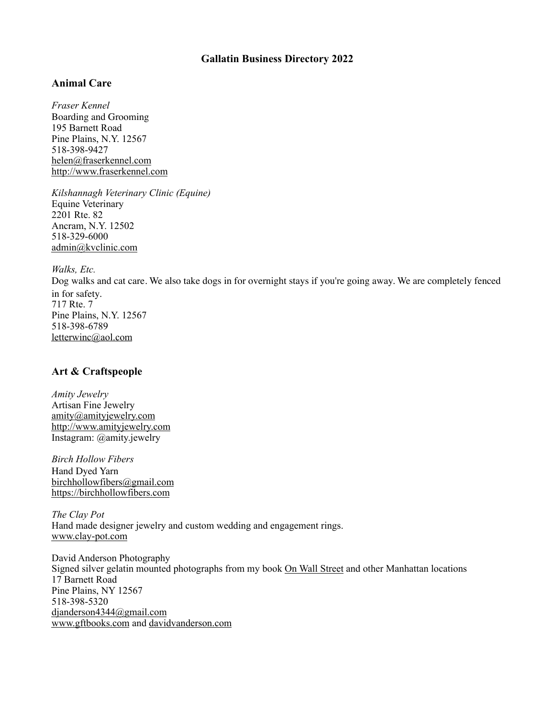## **Gallatin Business Directory 2022**

## **Animal Care**

*Fraser Kennel* Boarding and Grooming 195 Barnett Road Pine Plains, N.Y. 12567 518-398-9427 [helen@fraserkennel.com](mailto:helen@fraserkennel.com) [http://www.fraserkennel.com](http://www.fraserkennel.com/)

*Kilshannagh Veterinary Clinic (Equine)* Equine Veterinary 2201 Rte. 82 Ancram, N.Y. 12502 518-329-6000 [admin@kvclinic.com](mailto:admin@kvclinic.com)

*Walks, Etc.*

Dog walks and cat care. We also take dogs in for overnight stays if you're going away. We are completely fenced in for safety. 717 Rte. 7 Pine Plains, N.Y. 12567 518-398-6789 [letterwinc@aol.com](mailto:letterwinc@aol.com)

# **Art & Craftspeople**

*Amity Jewelry* Artisan Fine Jewelry [amity@amityjewelry.com](mailto:amity@amityjewelry.com) [http://www.amityjewelry.com](http://www.amityjewelry.com/) Instagram: @amity.jewelry

*Birch Hollow Fibers* Hand Dyed Yarn [birchhollowfibers@gmail.com](mailto:birchhollowfibers@gmail.com) [https://birchhollowfibers.com](https://birchhollowfibers.com/)

*The Clay Pot*  Hand made designer jewelry and custom wedding and engagement rings. [www.clay-pot.com](http://www.clay-pot.com)

David Anderson Photography Signed silver gelatin mounted photographs from my book On Wall Street and other Manhattan locations 17 Barnett Road Pine Plains, NY 12567 518-398-5320 [djanderson4344@gmail.com](mailto:djanderson4344@gmail.com) [www.gftbooks.com](http://www.gftbooks.com) and [davidvanderson.com](http://davidvanderson.com)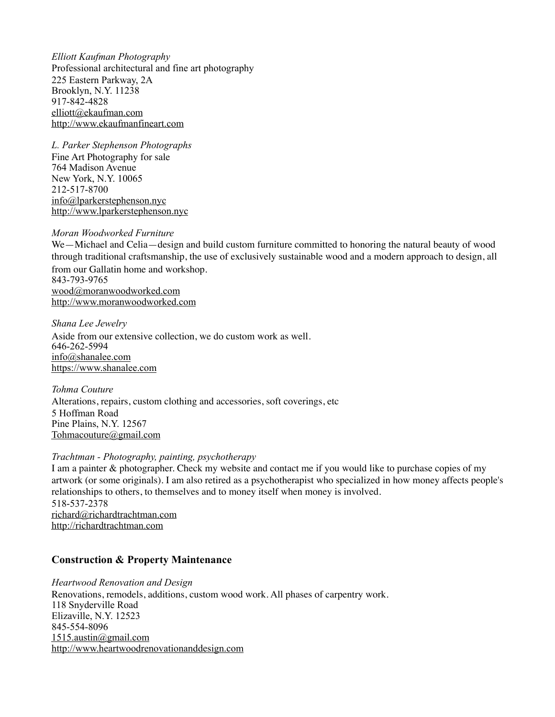*Elliott Kaufman Photography*  Professional architectural and fine art photography 225 Eastern Parkway, 2A Brooklyn, N.Y. 11238 917-842-4828 [elliott@ekaufman.com](mailto:elliott@ekaufman.com) [http://www.ekaufmanfineart.com](http://www.ekaufmanfineart.com/)

*L. Parker Stephenson Photographs* Fine Art Photography for sale 764 Madison Avenue New York, N.Y. 10065 212-517-8700 [info@lparkerstephenson.nyc](mailto:info@lparkerstephenson.nyc) [http://www.lparkerstephenson.nyc](http://www.lparkerstephenson.nyc/)

#### *Moran Woodworked Furniture*

We—Michael and Celia—design and build custom furniture committed to honoring the natural beauty of wood through traditional craftsmanship, the use of exclusively sustainable wood and a modern approach to design, all from our Gallatin home and workshop. 843-793-9765 [wood@moranwoodworked.com](mailto:wood@moranwoodworked.com) [http://www.moranwoodworked.com](http://www.moranwoodworked.com/)

*Shana Lee Jewelry* Aside from our extensive collection, we do custom work as well. 646-262-5994 [info@shanalee.com](mailto:info@shanalee.com) [https://www.shanalee.com](https://www.shanalee.com/)

*Tohma Couture* Alterations, repairs, custom clothing and accessories, soft coverings, etc 5 Hoffman Road Pine Plains, N.Y. 12567 [Tohmacouture@gmail.com](mailto:Tohmacouture@gmail.com)

#### *Trachtman - Photography, painting, psychotherapy*

I am a painter & photographer. Check my website and contact me if you would like to purchase copies of my artwork (or some originals). I am also retired as a psychotherapist who specialized in how money affects people's relationships to others, to themselves and to money itself when money is involved. 518-537-2378 [richard@richardtrachtman.com](mailto:richard@richardtrachtman.com) [http://richardtrachtman.com](http://richardtrachtman.com/)

### **Construction & Property Maintenance**

*Heartwood Renovation and Design* Renovations, remodels, additions, custom wood work. All phases of carpentry work. 118 Snyderville Road Elizaville, N.Y. 12523 845-554-8096 [1515.austin@gmail.com](mailto:1515.austin@gmail.com) [http://www.heartwoodrenovationanddesign.com](http://www.heartwoodrenovationanddesign.com/)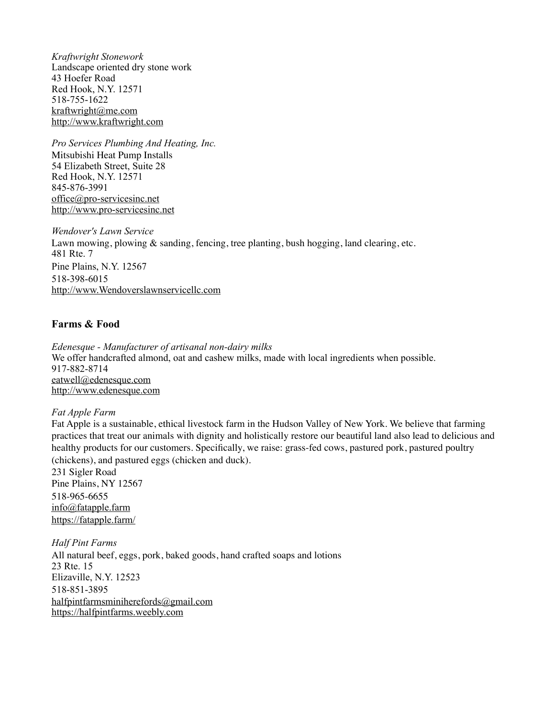*Kraftwright Stonework*  Landscape oriented dry stone work 43 Hoefer Road Red Hook, N.Y. 12571 518-755-1622 [kraftwright@me.com](mailto:kraftwright@me.com) [http://www.kraftwright.com](http://www.kraftwright.com/)

*Pro Services Plumbing And Heating, Inc.* Mitsubishi Heat Pump Installs 54 Elizabeth Street, Suite 28 Red Hook, N.Y. 12571 845-876-3991 [office@pro-servicesinc.net](mailto:office@pro-servicesinc.net) [http://www.pro-servicesinc.net](http://www.pro-servicesinc.net/)

*Wendover's Lawn Service* Lawn mowing, plowing & sanding, fencing, tree planting, bush hogging, land clearing, etc. 481 Rte. 7 Pine Plains, N.Y. 12567 518-398-6015 [http://www.Wendoverslawnservicellc.com](http://www.Wendoverslawnservice.com/)

## **Farms & Food**

*Edenesque - Manufacturer of artisanal non-dairy milks*  We offer handcrafted almond, oat and cashew milks, made with local ingredients when possible. 917-882-8714 [eatwell@edenesque.com](mailto:eatwell@edenesque.com) [http://www.edenesque.com](http://www.edenesque.com/)

### *Fat Apple Farm*

Fat Apple is a sustainable, ethical livestock farm in the Hudson Valley of New York. We believe that farming practices that treat our animals with dignity and holistically restore our beautiful land also lead to delicious and healthy products for our customers. Specifically, we raise: grass-fed cows, pastured pork, pastured poultry (chickens), and pastured eggs (chicken and duck).

231 Sigler Road Pine Plains, NY 12567 518-965-6655 info@fatapple.farm <https://fatapple.farm/>

*Half Pint Farms* All natural beef, eggs, pork, baked goods, hand crafted soaps and lotions 23 Rte. 15 Elizaville, N.Y. 12523 518-851-3895 halfpintfarmsminiherefords@gmail.com [https://halfpintfarms.weebly.com](https://halfpintfarms.weebly.com/)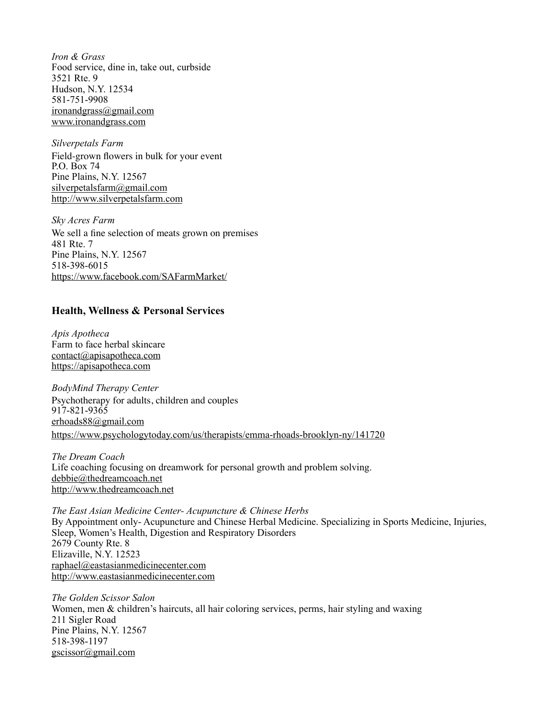*Iron & Grass*  Food service, dine in, take out, curbside 3521 Rte. 9 Hudson, N.Y. 12534 581-751-9908 [ironandgrass@gmail.com](mailto:ironandgrass@gmail.com) [www.ironandgrass.com](http://www.ironandgrass.com)

*Silverpetals Farm* Field-grown flowers in bulk for your event P.O. Box 74 Pine Plains, N.Y. 12567 [silverpetalsfarm@gmail.com](mailto:silverpetalsfarm@gmail.com) [http://www.silverpetalsfarm.com](http://www.silverpetalsfarm.com/)

*Sky Acres Farm* We sell a fine selection of meats grown on premises 481 Rte. 7 Pine Plains, N.Y. 12567 518-398-6015 <https://www.facebook.com/SAFarmMarket/>

## **Health, Wellness & Personal Services**

*Apis Apotheca*  Farm to face herbal skincare [contact@apisapotheca.com](mailto:contact@apisapotheca.com) <https://apisapotheca.com>

*BodyMind Therapy Center* Psychotherapy for adults, children and couples 917-821-9365 [erhoads88@gmail.com](mailto:erhoads88@gmail.com) <https://www.psychologytoday.com/us/therapists/emma-rhoads-brooklyn-ny/141720>

*The Dream Coach*  Life coaching focusing on dreamwork for personal growth and problem solving. [debbie@thedreamcoach.net](mailto:debbie@thedreamcoach.net) [http://www.thedreamcoach.net](http://www.thedreamcoach.net/)

*The East Asian Medicine Center- Acupuncture & Chinese Herbs* By Appointment only- Acupuncture and Chinese Herbal Medicine. Specializing in Sports Medicine, Injuries, Sleep, Women's Health, Digestion and Respiratory Disorders 2679 County Rte. 8 Elizaville, N.Y. 12523 [raphael@eastasianmedicinecenter.com](mailto:raphael@eastasianmedicinecenter.com) [http://www.eastasianmedicinecenter.com](http://www.eastasianmedicinecenter.com/)

*The Golden Scissor Salon* Women, men & children's haircuts, all hair coloring services, perms, hair styling and waxing 211 Sigler Road Pine Plains, N.Y. 12567 518-398-1197 [gscissor@gmail.com](mailto:gscissor@gmail.com)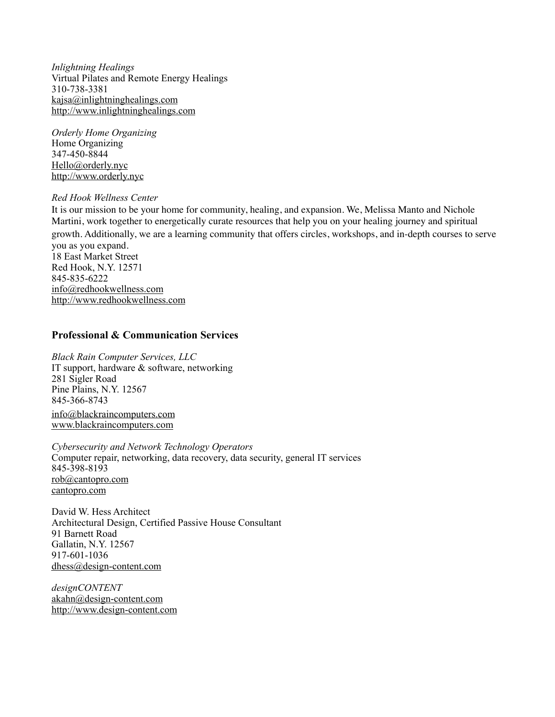*Inlightning Healings*  Virtual Pilates and Remote Energy Healings 310-738-3381 [kajsa@inlightninghealings.com](mailto:kajsa@inlightninghealings.com) [http://www.inlightninghealings.com](http://www.inlightninghealings.com/)

*Orderly Home Organizing* Home Organizing 347-450-8844 [Hello@orderly.nyc](mailto:Hello@orderly.nyc) [http://www.orderly.nyc](http://www.orderly.nyc/)

#### *Red Hook Wellness Center*

It is our mission to be your home for community, healing, and expansion. We, Melissa Manto and Nichole Martini, work together to energetically curate resources that help you on your healing journey and spiritual growth. Additionally, we are a learning community that offers circles, workshops, and in-depth courses to serve you as you expand. 18 East Market Street

Red Hook, N.Y. 12571 845-835-6222 [info@redhookwellness.com](mailto:info@redhookwellness.com) [http://www.redhookwellness.com](http://www.redhookwellness.com/)

### **Professional & Communication Services**

*Black Rain Computer Services, LLC*  IT support, hardware & software, networking 281 Sigler Road Pine Plains, N.Y. 12567 845-366-8743 [info@blackraincomputers.com](mailto:info@blakcraincomputers.com) [www.blackraincomputers.com](http://www.blackraincomputers.com)

*Cybersecurity and Network Technology Operators*  Computer repair, networking, data recovery, data security, general IT services 845-398-8193 [rob@cantopro.com](mailto:rob@cantopro.com) [cantopro.com](http://cantopro.com)

David W. Hess Architect Architectural Design, Certified Passive House Consultant 91 Barnett Road Gallatin, N.Y. 12567 917-601-1036 [dhess@design-content.com](mailto:dhess@design-content.com)

*designCONTENT* [akahn@design-content.com](mailto:akahn@design-content.com) [http://www.design-content.com](http://www.design-content.com/)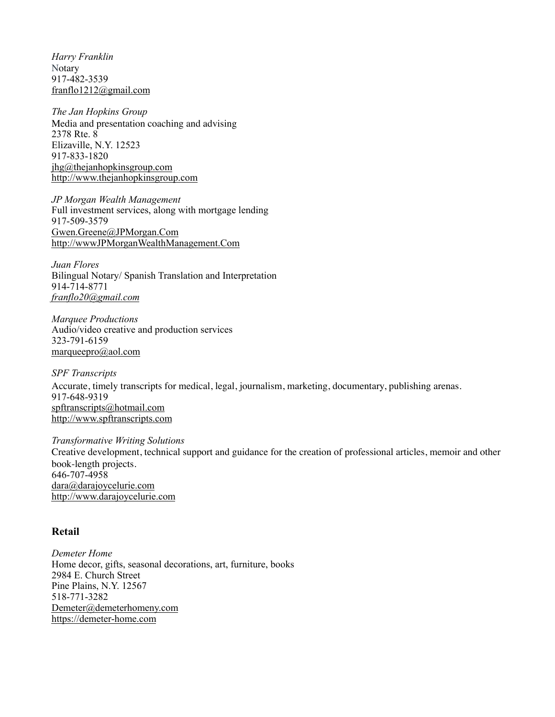*Harry Franklin* **Notary** 917-482-3539 [franflo1212@gmail.com](mailto:franflo1212@gmail.com)

*The Jan Hopkins Group* Media and presentation coaching and advising 2378 Rte. 8 Elizaville, N.Y. 12523 917-833-1820 [jhg@thejanhopkinsgroup.com](mailto:jhg@thejanhopkinsgroup.com) [http://www.thejanhopkinsgroup.com](http://www.thejanhopkinsgroup.com/)

*JP Morgan Wealth Management*  Full investment services, along with mortgage lending 917-509-3579 [Gwen.Greene@JPMorgan.Com](mailto:Gwen.Greene@JPMorgan.Com) [http://wwwJPMorganWealthManagement.Com](http://wwwJPMorganWealthManagement.Com/)

*Juan Flores*  Bilingual Notary/ Spanish Translation and Interpretation 914-714-8771 *[franflo20@gmail.com](mailto:franflo20@gmail.com)*

*Marquee Productions*  Audio/video creative and production services 323-791-6159 [marqueepro@aol.com](mailto:marqueepro@aol.com)

*SPF Transcripts* Accurate, timely transcripts for medical, legal, journalism, marketing, documentary, publishing arenas. 917-648-9319 [spftranscripts@hotmail.com](mailto:spftranscripts@hotmail.com) [http://www.spftranscripts.com](http://www.spftranscripts.com/)

*Transformative Writing Solutions* Creative development, technical support and guidance for the creation of professional articles, memoir and other book-length projects. 646-707-4958 [dara@darajoycelurie.com](mailto:dara@darajoycelurie.com) [http://www.darajoycelurie.com](http://www.darajoycelurie.com/)

#### **Retail**

*Demeter Home* Home decor, gifts, seasonal decorations, art, furniture, books 2984 E. Church Street Pine Plains, N.Y. 12567 518-771-3282 [Demeter@demeterhomeny.com](mailto:Demeter@demeterhomeny.com) [https://demeter-home.com](https://demeter-home.com/)